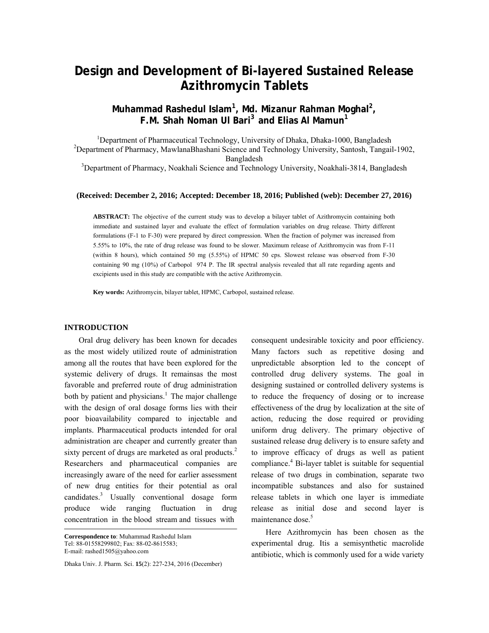# **Design and Development of Bi-layered Sustained Release Azithromycin Tablets**

## **Muhammad Rashedul Islam<sup>1</sup> , Md. Mizanur Rahman Moghal<sup>2</sup> , F.M. Shah Noman Ul Bari3 and Elias Al Mamun1**

<sup>1</sup> Department of Pharmaceutical Technology, University of Dhaka, Dhaka-1000, Bangladesh <sup>2</sup><br><sup>2</sup> Department of Pharmacy, May lang Phashari Science and Technology University, Santash Tenggil <sup>2</sup>Department of Pharmacy, MawlanaBhashani Science and Technology University, Santosh, Tangail-1902, Bangladesh<br>
<sup>3</sup>Department of Pharmacy, Noakhali Science and Technology University, Noakhali-3814, Bangladesh

#### **(Received: December 2, 2016; Accepted: December 18, 2016; Published (web): December 27, 2016)**

**ABSTRACT:** The objective of the current study was to develop a bilayer tablet of Azithromycin containing both immediate and sustained layer and evaluate the effect of formulation variables on drug release. Thirty different formulations (F-1 to F-30) were prepared by direct compression. When the fraction of polymer was increased from 5.55% to 10%, the rate of drug release was found to be slower. Maximum release of Azithromycin was from F-11 (within 8 hours), which contained 50 mg (5.55%) of HPMC 50 cps. Slowest release was observed from F-30 containing 90 mg (10%) of Carbopol 974 P. The IR spectral analysis revealed that all rate regarding agents and excipients used in this study are compatible with the active Azithromycin.

**Key words:** Azithromycin, bilayer tablet, HPMC, Carbopol, sustained release.

#### **INTRODUCTION**

 Oral drug delivery has been known for decades as the most widely utilized route of administration among all the routes that have been explored for the systemic delivery of drugs. It remainsas the most favorable and preferred route of drug administration both by patient and physicians.<sup>1</sup> The major challenge with the design of oral dosage forms lies with their poor bioavailability compared to injectable and implants. Pharmaceutical products intended for oral administration are cheaper and currently greater than sixty percent of drugs are marketed as oral products.<sup>2</sup> Researchers and pharmaceutical companies are increasingly aware of the need for earlier assessment of new drug entities for their potential as oral candidates.3 Usually conventional dosage form produce wide ranging fluctuation in drug concentration in the blood stream and tissues with

Dhaka Univ. J. Pharm. Sci. **15**(2): 227-234, 2016 (December)

consequent undesirable toxicity and poor efficiency. Many factors such as repetitive dosing and unpredictable absorption led to the concept of controlled drug delivery systems. The goal in designing sustained or controlled delivery systems is to reduce the frequency of dosing or to increase effectiveness of the drug by localization at the site of action, reducing the dose required or providing uniform drug delivery. The primary objective of sustained release drug delivery is to ensure safety and to improve efficacy of drugs as well as patient compliance.<sup>4</sup> Bi-layer tablet is suitable for sequential release of two drugs in combination, separate two incompatible substances and also for sustained release tablets in which one layer is immediate release as initial dose and second layer is maintenance dose.<sup>5</sup>

 Here Azithromycin has been chosen as the experimental drug. Itis a semisynthetic macrolide antibiotic, which is commonly used for a wide variety

**Correspondence to**: Muhammad Rashedul Islam Tel: 88-01558299802; Fax: 88-02-8615583; E-mail: rashed1505@yahoo.com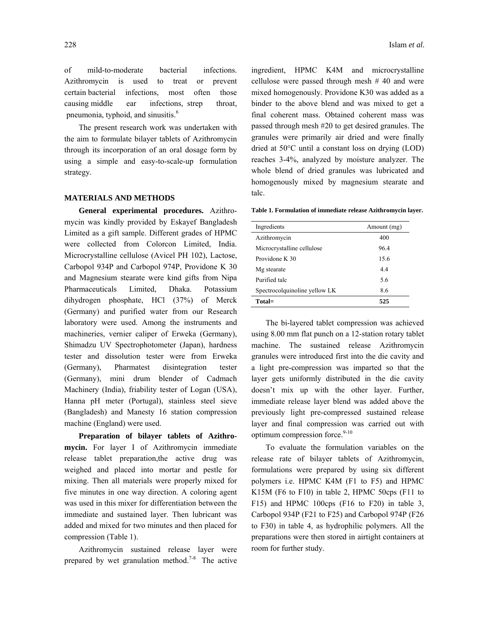of mild-to-moderate bacterial infections. Azithromycin is used to treat or prevent certain bacterial infections, most often those causing middle ear infections, strep throat, pneumonia, typhoid, and sinusitis.<sup>6</sup>

 The present research work was undertaken with the aim to formulate bilayer tablets of Azithromycin through its incorporation of an oral dosage form by using a simple and easy-to-scale-up formulation strategy.

#### **MATERIALS AND METHODS**

 **General experimental procedures.** Azithromycin was kindly provided by Eskayef Bangladesh Limited as a gift sample. Different grades of HPMC were collected from Colorcon Limited, India. Microcrystalline cellulose (Avicel PH 102), Lactose, Carbopol 934P and Carbopol 974P, Providone K 30 and Magnesium stearate were kind gifts from Nipa Pharmaceuticals Limited, Dhaka. Potassium dihydrogen phosphate, HCl (37%) of Merck (Germany) and purified water from our Research laboratory were used. Among the instruments and machineries, vernier caliper of Erweka (Germany), Shimadzu UV Spectrophotometer (Japan), hardness tester and dissolution tester were from Erweka (Germany), Pharmatest disintegration tester (Germany), mini drum blender of Cadmach Machinery (India), friability tester of Logan (USA), Hanna pH meter (Portugal), stainless steel sieve (Bangladesh) and Manesty 16 station compression machine (England) were used.

 **Preparation of bilayer tablets of Azithromycin.** For layer I of Azithromycin immediate release tablet preparation,the active drug was weighed and placed into mortar and pestle for mixing. Then all materials were properly mixed for five minutes in one way direction. A coloring agent was used in this mixer for differentiation between the immediate and sustained layer. Then lubricant was added and mixed for two minutes and then placed for compression (Table 1).

 Azithromycin sustained release layer were prepared by wet granulation method.<sup>7-8</sup> The active ingredient, HPMC K4M and microcrystalline cellulose were passed through mesh # 40 and were mixed homogenously. Providone K30 was added as a binder to the above blend and was mixed to get a final coherent mass. Obtained coherent mass was passed through mesh #20 to get desired granules. The granules were primarily air dried and were finally dried at 50°C until a constant loss on drying (LOD) reaches 3-4%, analyzed by moisture analyzer. The whole blend of dried granules was lubricated and homogenously mixed by magnesium stearate and talc.

**Table 1. Formulation of immediate release Azithromycin layer.** 

| Ingredients                   | Amount (mg) |
|-------------------------------|-------------|
| Azithromycin                  | 400         |
| Microcrystalline cellulose    | 96.4        |
| Providone K 30                | 15.6        |
| Mg stearate                   | 4.4         |
| Purified talc                 | 5.6         |
| Spectrocolquinoline yellow LK | 8.6         |
| Total=                        | 525         |

 The bi-layered tablet compression was achieved using 8.00 mm flat punch on a 12-station rotary tablet machine. The sustained release Azithromycin granules were introduced first into the die cavity and a light pre-compression was imparted so that the layer gets uniformly distributed in the die cavity doesn't mix up with the other layer. Further, immediate release layer blend was added above the previously light pre-compressed sustained release layer and final compression was carried out with optimum compression force.<sup>9-10</sup>

 To evaluate the formulation variables on the release rate of bilayer tablets of Azithromycin, formulations were prepared by using six different polymers i.e. HPMC K4M (F1 to F5) and HPMC K15M (F6 to F10) in table 2, HPMC 50cps (F11 to F15) and HPMC 100cps (F16 to F20) in table 3, Carbopol 934P (F21 to F25) and Carbopol 974P (F26 to F30) in table 4, as hydrophilic polymers. All the preparations were then stored in airtight containers at room for further study.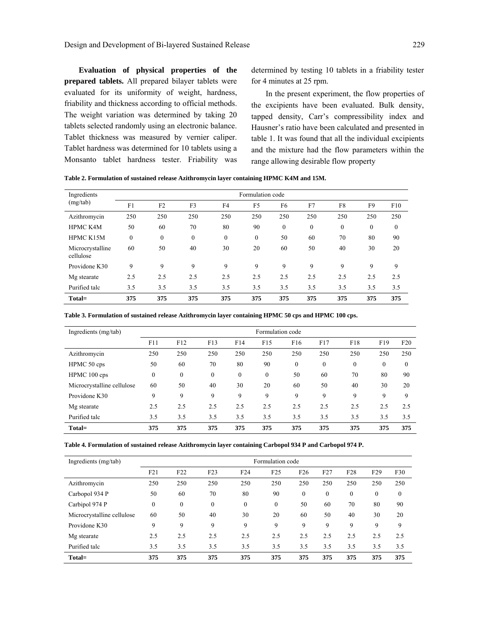**Evaluation of physical properties of the prepared tablets.** All prepared bilayer tablets were evaluated for its uniformity of weight, hardness, friability and thickness according to official methods. The weight variation was determined by taking 20 tablets selected randomly using an electronic balance. Tablet thickness was measured by vernier caliper. Tablet hardness was determined for 10 tablets using a Monsanto tablet hardness tester. Friability was

determined by testing 10 tablets in a friability tester for 4 minutes at 25 rpm.

 In the present experiment, the flow properties of the excipients have been evaluated. Bulk density, tapped density, Carr's compressibility index and Hausner's ratio have been calculated and presented in table 1. It was found that all the individual excipients and the mixture had the flow parameters within the range allowing desirable flow property

|  |  |  | Table 2. Formulation of sustained release Azithromycin layer containing HPMC K4M and 15M. |
|--|--|--|-------------------------------------------------------------------------------------------|
|  |  |  |                                                                                           |

| Ingredients                   | Formulation code |              |              |              |                |                |              |          |                |              |  |  |
|-------------------------------|------------------|--------------|--------------|--------------|----------------|----------------|--------------|----------|----------------|--------------|--|--|
| (mg/tab)                      | F1               | F2           | F3           | F4           | F <sub>5</sub> | F <sub>6</sub> | F7           | F8       | F <sub>9</sub> | F10          |  |  |
| Azithromycin                  | 250              | 250          | 250          | 250          | 250            | 250            | 250          | 250      | 250            | 250          |  |  |
| <b>HPMC K4M</b>               | 50               | 60           | 70           | 80           | 90             | $\mathbf{0}$   | $\mathbf{0}$ | $\theta$ | $\mathbf{0}$   | $\mathbf{0}$ |  |  |
| <b>HPMC K15M</b>              | $\boldsymbol{0}$ | $\mathbf{0}$ | $\mathbf{0}$ | $\mathbf{0}$ | $\mathbf{0}$   | 50             | 60           | 70       | 80             | 90           |  |  |
| Microcrystalline<br>cellulose | 60               | 50           | 40           | 30           | 20             | 60             | 50           | 40       | 30             | 20           |  |  |
| Providone K30                 | 9                | 9            | 9            | 9            | 9              | 9              | 9            | 9        | 9              | 9            |  |  |
| Mg stearate                   | 2.5              | 2.5          | 2.5          | 2.5          | 2.5            | 2.5            | 2.5          | 2.5      | 2.5            | 2.5          |  |  |
| Purified talc                 | 3.5              | 3.5          | 3.5          | 3.5          | 3.5            | 3.5            | 3.5          | 3.5      | 3.5            | 3.5          |  |  |
| Total=                        | 375              | 375          | 375          | 375          | 375            | 375            | 375          | 375      | 375            | 375          |  |  |

**Table 3. Formulation of sustained release Azithromycin layer containing HPMC 50 cps and HPMC 100 cps.** 

| Ingredients (mg/tab)       | Formulation code |              |          |          |          |              |              |              |              |              |
|----------------------------|------------------|--------------|----------|----------|----------|--------------|--------------|--------------|--------------|--------------|
|                            | F11              | F12          | F13      | F14      | F15      | F16          | F17          | F18          | F19          | F20          |
| Azithromycin               | 250              | 250          | 250      | 250      | 250      | 250          | 250          | 250          | 250          | 250          |
| HPMC 50 cps                | 50               | 60           | 70       | 80       | 90       | $\mathbf{0}$ | $\mathbf{0}$ | $\mathbf{0}$ | $\mathbf{0}$ | $\mathbf{0}$ |
| HPMC 100 cps               | $\mathbf{0}$     | $\mathbf{0}$ | $\theta$ | $\theta$ | $\Omega$ | 50           | 60           | 70           | 80           | 90           |
| Microcrystalline cellulose | 60               | 50           | 40       | 30       | 20       | 60           | 50           | 40           | 30           | 20           |
| Providone K30              | 9                | 9            | 9        | 9        | 9        | 9            | 9            | 9            | 9            | 9            |
| Mg stearate                | 2.5              | 2.5          | 2.5      | 2.5      | 2.5      | 2.5          | 2.5          | 2.5          | 2.5          | 2.5          |
| Purified talc              | 3.5              | 3.5          | 3.5      | 3.5      | 3.5      | 3.5          | 3.5          | 3.5          | 3.5          | 3.5          |
| Total=                     | 375              | 375          | 375      | 375      | 375      | 375          | 375          | 375          | 375          | 375          |

**Table 4. Formulation of sustained release Azithromycin layer containing Carbopol 934 P and Carbopol 974 P.** 

| Ingredients (mg/tab)       | Formulation code |              |              |                 |          |                 |          |                  |                 |                  |
|----------------------------|------------------|--------------|--------------|-----------------|----------|-----------------|----------|------------------|-----------------|------------------|
|                            | F21              | F22          | F23          | F <sub>24</sub> | F25      | F <sub>26</sub> | F27      | F <sub>28</sub>  | F <sub>29</sub> | F30              |
| Azithromycin               | 250              | 250          | 250          | 250             | 250      | 250             | 250      | 250              | 250             | 250              |
| Carbopol 934 P             | 50               | 60           | 70           | 80              | 90       | $\mathbf{0}$    | $\theta$ | $\boldsymbol{0}$ | $\mathbf{0}$    | $\boldsymbol{0}$ |
| Carbipol 974 P             | 0                | $\mathbf{0}$ | $\mathbf{0}$ | $\theta$        | $\theta$ | 50              | 60       | 70               | 80              | 90               |
| Microcrystalline cellulose | 60               | 50           | 40           | 30              | 20       | 60              | 50       | 40               | 30              | 20               |
| Providone K30              | 9                | 9            | 9            | 9               | 9        | 9               | 9        | 9                | 9               | 9                |
| Mg stearate                | 2.5              | 2.5          | 2.5          | 2.5             | 2.5      | 2.5             | 2.5      | 2.5              | 2.5             | 2.5              |
| Purified talc              | 3.5              | 3.5          | 3.5          | 3.5             | 3.5      | 3.5             | 3.5      | 3.5              | 3.5             | 3.5              |
| Total=                     | 375              | 375          | 375          | 375             | 375      | 375             | 375      | 375              | 375             | 375              |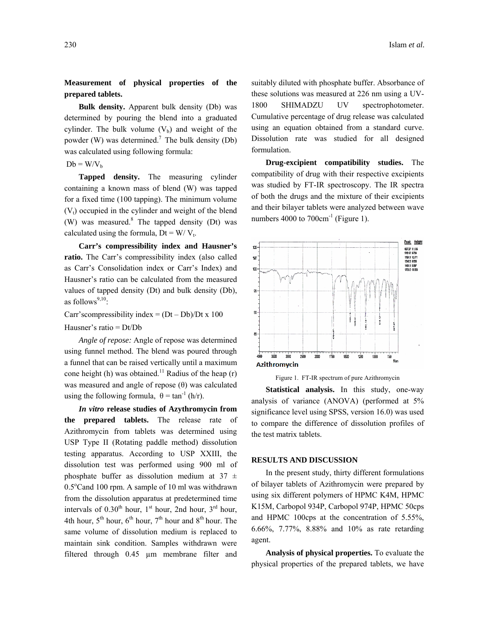**Measurement of physical properties of the prepared tablets.** 

 **Bulk density.** Apparent bulk density (Db) was determined by pouring the blend into a graduated cylinder. The bulk volume  $(V<sub>b</sub>)$  and weight of the powder (W) was determined.<sup>7</sup> The bulk density (Db) was calculated using following formula:

#### $Db = W/V_b$

 **Tapped density.** The measuring cylinder containing a known mass of blend (W) was tapped for a fixed time (100 tapping). The minimum volume  $(V<sub>t</sub>)$  occupied in the cylinder and weight of the blend (W) was measured. $8$  The tapped density (Dt) was calculated using the formula,  $Dt = W/V_t$ .

 **Carr's compressibility index and Hausner's ratio.** The Carr's compressibility index (also called as Carr's Consolidation index or Carr's Index) and Hausner's ratio can be calculated from the measured values of tapped density (Dt) and bulk density (Db), as follows $9,10$ :

Carr's compressibility index =  $(Dt - Db)/Dt \times 100$ 

#### Hausner's ratio = Dt/Db

 *Angle of repose:* Angle of repose was determined using funnel method. The blend was poured through a funnel that can be raised vertically until a maximum cone height (h) was obtained.<sup>11</sup> Radius of the heap (r) was measured and angle of repose  $(θ)$  was calculated using the following formula,  $\theta = \tan^{-1} (\frac{h}{r})$ .

 *In vitro* **release studies of Azythromycin from the prepared tablets.** The release rate of Azithromycin from tablets was determined using USP Type II (Rotating paddle method) dissolution testing apparatus. According to USP XXIII, the dissolution test was performed using 900 ml of phosphate buffer as dissolution medium at  $37 \pm$ 0.5°Cand 100 rpm. A sample of 10 ml was withdrawn from the dissolution apparatus at predetermined time intervals of  $0.30<sup>th</sup>$  hour,  $1<sup>st</sup>$  hour,  $2<sup>rd</sup>$  hour, 4th hour,  $5^{th}$  hour,  $6^{th}$  hour,  $7^{th}$  hour and  $8^{th}$  hour. The same volume of dissolution medium is replaced to maintain sink condition. Samples withdrawn were filtered through 0.45 µm membrane filter and

suitably diluted with phosphate buffer. Absorbance of these solutions was measured at 226 nm using a UV-1800 SHIMADZU UV spectrophotometer. Cumulative percentage of drug release was calculated using an equation obtained from a standard curve. Dissolution rate was studied for all designed formulation.

 **Drug-excipient compatibility studies.** The compatibility of drug with their respective excipients was studied by FT-IR spectroscopy. The IR spectra of both the drugs and the mixture of their excipients and their bilayer tablets were analyzed between wave numbers 4000 to  $700 \text{cm}^{-1}$  (Figure 1).





 **Statistical analysis.** In this study, one-way analysis of variance (ANOVA) (performed at 5% significance level using SPSS, version 16.0) was used to compare the difference of dissolution profiles of the test matrix tablets.

#### **RESULTS AND DISCUSSION**

 In the present study, thirty different formulations of bilayer tablets of Azithromycin were prepared by using six different polymers of HPMC K4M, HPMC K15M, Carbopol 934P, Carbopol 974P, HPMC 50cps and HPMC 100cps at the concentration of 5.55%, 6.66%, 7.77%, 8.88% and 10% as rate retarding agent.

 **Analysis of physical properties.** To evaluate the physical properties of the prepared tablets, we have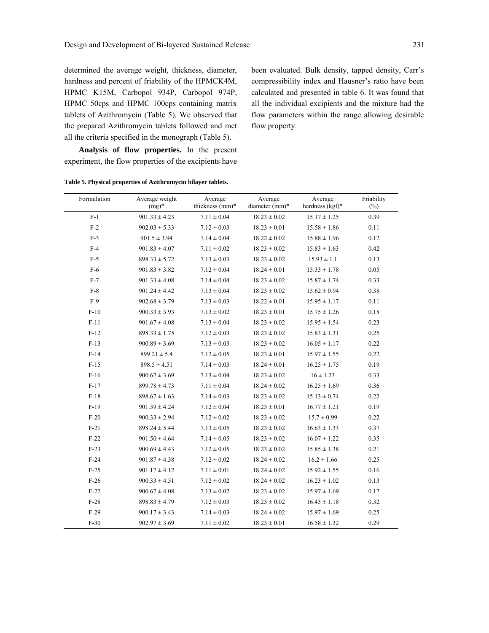determined the average weight, thickness, diameter, hardness and percent of friability of the HPMCK4M, HPMC K15M, Carbopol 934P, Carbopol 974P, HPMC 50cps and HPMC 100cps containing matrix tablets of Azithromycin (Table 5). We observed that the prepared Azithromycin tablets followed and met all the criteria specified in the monograph (Table 5).

 **Analysis of flow properties.** In the present

been evaluated. Bulk density, tapped density, Carr's compressibility index and Hausner's ratio have been calculated and presented in table 6. It was found that all the individual excipients and the mixture had the flow parameters within the range allowing desirable flow property.

| experiment, the flow properties of the excipients have |  |  |  |
|--------------------------------------------------------|--|--|--|

**Table 5. Physical properties of Azithromycin bilayer tablets.** 

| Formulation | Average weight<br>$(mg)^*$ | Average<br>thickness (mm)* | Average<br>diameter (mm)* | Average<br>hardness $(kgf)^*$ | Friability<br>$(\%)$ |
|-------------|----------------------------|----------------------------|---------------------------|-------------------------------|----------------------|
| $F-1$       | $901.33 \pm 4.23$          | $7.11 \pm 0.04$            | $18.23 \pm 0.02$          | $15.17 \pm 1.25$              | 0.39                 |
| $F-2$       | $902.03 \pm 5.33$          | $7.12 \pm 0.03$            | $18.23 \pm 0.01$          | $15.58 \pm 1.86$              | 0.11                 |
| $F-3$       | $901.5 \pm 3.94$           | $7.14 \pm 0.04$            | $18.22 \pm 0.02$          | $15.88 \pm 1.96$              | 0.12                 |
| $F-4$       | $901.83 \pm 4.07$          | $7.11 \pm 0.02$            | $18.23 \pm 0.02$          | $15.83 \pm 1.63$              | 0.42                 |
| $F-5$       | $898.33 \pm 5.72$          | $7.13 \pm 0.03$            | $18.23 \pm 0.02$          | $15.93 \pm 1.1$               | 0.13                 |
| F-6         | $901.83 \pm 3.82$          | $7.12 \pm 0.04$            | $18.24 \pm 0.01$          | $15.33 \pm 1.78$              | 0.05                 |
| $F-7$       | $901.33 \pm 4.08$          | $7.14 \pm 0.04$            | $18.23 \pm 0.02$          | $15.87 \pm 1.74$              | 0.33                 |
| $F-8$       | $901.24 \pm 4.42$          | $7.13 \pm 0.04$            | $18.23 \pm 0.02$          | $15.62 \pm 0.94$              | 0.38                 |
| $F-9$       | $902.68 \pm 3.79$          | $7.13 \pm 0.03$            | $18.22 \pm 0.01$          | $15.95 \pm 1.17$              | 0.11                 |
| $F-10$      | $900.33 \pm 3.93$          | $7.13 \pm 0.02$            | $18.23 \pm 0.01$          | $15.75 \pm 1.26$              | 0.18                 |
| $F-11$      | $901.67 \pm 4.08$          | $7.13 \pm 0.04$            | $18.23 \pm 0.02$          | $15.95 \pm 1.54$              | 0.23                 |
| $F-12$      | $898.33 \pm 1.75$          | $7.12 \pm 0.03$            | $18.23 \pm 0.02$          | $15.83 \pm 1.31$              | 0.25                 |
| $F-13$      | $900.89 \pm 3.69$          | $7.13 \pm 0.03$            | $18.23 \pm 0.02$          | $16.05 \pm 1.17$              | 0.22                 |
| $F-14$      | $899.21 \pm 5.4$           | $7.12 \pm 0.05$            | $18.23 \pm 0.01$          | $15.97 \pm 1.55$              | 0.22                 |
| $F-15$      | $898.5 \pm 4.51$           | $7.14 \pm 0.03$            | $18.24 \pm 0.01$          | $16.25 \pm 1.75$              | 0.19                 |
| $F-16$      | $900.67 \pm 3.69$          | $7.13 \pm 0.04$            | $18.23 \pm 0.02$          | $16 \pm 1.23$                 | 0.33                 |
| $F-17$      | $899.78 \pm 4.73$          | $7.11 \pm 0.04$            | $18.24 \pm 0.02$          | $16.25 \pm 1.69$              | 0.36                 |
| $F-18$      | $898.67 \pm 1.63$          | $7.14 \pm 0.03$            | $18.23 \pm 0.02$          | $15.13 \pm 0.74$              | 0.22                 |
| $F-19$      | $901.39 \pm 4.24$          | $7.12 \pm 0.04$            | $18.23 \pm 0.01$          | $16.77 \pm 1.21$              | 0.19                 |
| $F-20$      | $900.33 \pm 2.94$          | $7.12 \pm 0.02$            | $18.23 \pm 0.02$          | $15.7 \pm 0.99$               | 0.22                 |
| $F-21$      | $898.24 \pm 5.44$          | $7.13 \pm 0.05$            | $18.23 \pm 0.02$          | $16.63 \pm 1.33$              | 0.37                 |
| $F-22$      | $901.50 \pm 4.64$          | $7.14 \pm 0.05$            | $18.23 \pm 0.02$          | $16.07 \pm 1.22$              | 0.35                 |
| $F-23$      | $900.69 \pm 4.43$          | $7.12 \pm 0.05$            | $18.23 \pm 0.02$          | $15.85 \pm 1.38$              | 0.21                 |
| $F-24$      | $901.87 \pm 4.38$          | $7.12 \pm 0.02$            | $18.24 \pm 0.02$          | $16.2 \pm 1.66$               | 0.25                 |
| $F-25$      | $901.17 \pm 4.12$          | $7.11 \pm 0.01$            | $18.24 \pm 0.02$          | $15.92 \pm 1.55$              | 0.16                 |
| $F-26$      | $900.33 \pm 4.51$          | $7.12 \pm 0.02$            | $18.24 \pm 0.02$          | $16.23 \pm 1.02$              | 0.13                 |
| $F-27$      | $900.67 \pm 4.08$          | $7.13 \pm 0.02$            | $18.23 \pm 0.02$          | $15.97 \pm 1.69$              | 0.17                 |
| $F-28$      | $898.83 \pm 4.79$          | $7.12 \pm 0.03$            | $18.23 \pm 0.02$          | $16.43 \pm 1.18$              | 0.32                 |
| $F-29$      | $900.17 \pm 3.43$          | $7.14 \pm 0.03$            | $18.24 \pm 0.02$          | $15.97 \pm 1.69$              | 0.25                 |
| $F-30$      | $902.97 \pm 3.69$          | $7.11 \pm 0.02$            | $18.23 \pm 0.01$          | $16.58 \pm 1.32$              | 0.29                 |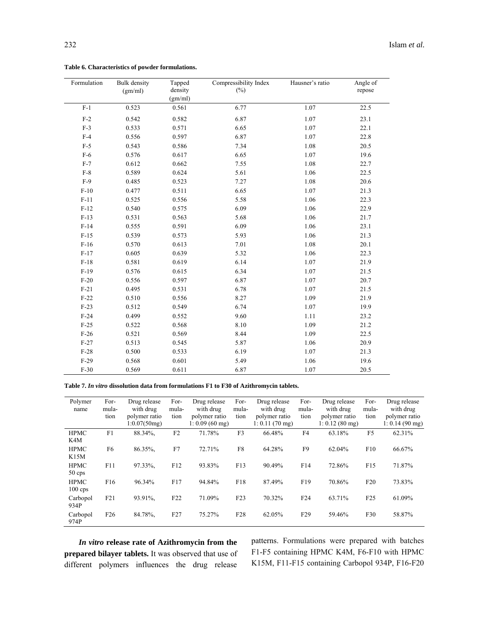| Formulation | <b>Bulk</b> density<br>(gm/ml) | Tapped<br>density<br>(gm/ml) | Compressibility Index<br>$(\%)$ | Hausner's ratio | Angle of<br>repose |
|-------------|--------------------------------|------------------------------|---------------------------------|-----------------|--------------------|
| $F-1$       | 0.523                          | 0.561                        | 6.77                            | 1.07            | 22.5               |
| $F-2$       | 0.542                          | 0.582                        | 6.87                            | 1.07            | 23.1               |
| $F-3$       | 0.533                          | 0.571                        | 6.65                            | 1.07            | 22.1               |
| $F-4$       | 0.556                          | 0.597                        | 6.87                            | 1.07            | 22.8               |
| $F-5$       | 0.543                          | 0.586                        | 7.34                            | 1.08            | 20.5               |
| $F-6$       | 0.576                          | 0.617                        | 6.65                            | 1.07            | 19.6               |
| $F-7$       | 0.612                          | 0.662                        | 7.55                            | 1.08            | 22.7               |
| $F-8$       | 0.589                          | 0.624                        | 5.61                            | 1.06            | 22.5               |
| $F-9$       | 0.485                          | 0.523                        | 7.27                            | 1.08            | 20.6               |
| $F-10$      | 0.477                          | 0.511                        | 6.65                            | 1.07            | 21.3               |
| $F-11$      | 0.525                          | 0.556                        | 5.58                            | 1.06            | 22.3               |
| $F-12$      | 0.540                          | 0.575                        | 6.09                            | 1.06            | 22.9               |
| $F-13$      | 0.531                          | 0.563                        | 5.68                            | 1.06            | 21.7               |
| $F-14$      | 0.555                          | 0.591                        | 6.09                            | 1.06            | 23.1               |
| $F-15$      | 0.539                          | 0.573                        | 5.93                            | 1.06            | 21.3               |
| $F-16$      | 0.570                          | 0.613                        | 7.01                            | 1.08            | 20.1               |
| $F-17$      | 0.605                          | 0.639                        | 5.32                            | 1.06            | 22.3               |
| $F-18$      | 0.581                          | 0.619                        | 6.14                            | 1.07            | 21.9               |
| $F-19$      | 0.576                          | 0.615                        | 6.34                            | 1.07            | 21.5               |
| $F-20$      | 0.556                          | 0.597                        | 6.87                            | 1.07            | 20.7               |
| $F-21$      | 0.495                          | 0.531                        | 6.78                            | 1.07            | 21.5               |
| $F-22$      | 0.510                          | 0.556                        | 8.27                            | 1.09            | 21.9               |
| $F-23$      | 0.512                          | 0.549                        | 6.74                            | 1.07            | 19.9               |
| $F-24$      | 0.499                          | 0.552                        | 9.60                            | 1.11            | 23.2               |
| $F-25$      | 0.522                          | 0.568                        | 8.10                            | 1.09            | 21.2               |
| $F-26$      | 0.521                          | 0.569                        | 8.44                            | 1.09            | 22.5               |
| $F-27$      | 0.513                          | 0.545                        | 5.87                            | 1.06            | 20.9               |
| $F-28$      | 0.500                          | 0.533                        | 6.19                            | 1.07            | 21.3               |
| $F-29$      | 0.568                          | 0.601                        | 5.49                            | 1.06            | 19.6               |
| $F-30$      | 0.569                          | 0.611                        | 6.87                            | 1.07            | 20.5               |

**Table 6. Characteristics of powder formulations.** 

**Table 7.** *In vitro* **dissolution data from formulations F1 to F30 of Azithromycin tablets.** 

| Polymer<br>name          | For-<br>mula-<br>tion | Drug release<br>with drug<br>polymer ratio<br>1:0.07(50mg) | For-<br>mula-<br>tion | Drug release<br>with drug<br>polymer ratio<br>$1: 0.09(60 \text{ mg})$ | For-<br>mula-<br>tion | Drug release<br>with drug<br>polymer ratio<br>$1: 0.11(70 \text{ mg})$ | For-<br>mula-<br>tion | Drug release<br>with drug<br>polymer ratio<br>$1: 0.12(80$ mg) | For-<br>mula-<br>tion | Drug release<br>with drug<br>polymer ratio<br>1: 0.14 (90 mg) |
|--------------------------|-----------------------|------------------------------------------------------------|-----------------------|------------------------------------------------------------------------|-----------------------|------------------------------------------------------------------------|-----------------------|----------------------------------------------------------------|-----------------------|---------------------------------------------------------------|
| <b>HPMC</b><br>K4M       | F1                    | 88.34%.                                                    | F <sub>2</sub>        | 71.78%                                                                 | F3                    | 66.48%                                                                 | F <sub>4</sub>        | 63.18%                                                         | F <sub>5</sub>        | 62.31%                                                        |
| <b>HPMC</b><br>K15M      | F <sub>6</sub>        | 86.35%.                                                    | F7                    | 72.71%                                                                 | F8                    | 64.28%                                                                 | F <sub>9</sub>        | 62.04%                                                         | F10                   | 66.67%                                                        |
| <b>HPMC</b><br>$50$ cps  | F11                   | 97.33%.                                                    | F12                   | 93.83%                                                                 | F13                   | 90.49%                                                                 | F14                   | 72.86%                                                         | F15                   | 71.87%                                                        |
| <b>HPMC</b><br>$100$ cps | F16                   | 96.34%                                                     | F17                   | 94.84%                                                                 | F18                   | 87.49%                                                                 | F19                   | 70.86%                                                         | F20                   | 73.83%                                                        |
| Carbopol<br>934P         | F21                   | 93.91%.                                                    | F22                   | 71.09%                                                                 | F23                   | 70.32%                                                                 | F <sub>24</sub>       | 63.71%                                                         | F25                   | 61.09%                                                        |
| Carbopol<br>974P         | F26                   | 84.78%.                                                    | F27                   | 75.27%                                                                 | F <sub>28</sub>       | 62.05%                                                                 | F <sub>29</sub>       | 59.46%                                                         | F30                   | 58.87%                                                        |

 *In vitro* **release rate of Azithromycin from the prepared bilayer tablets.** It was observed that use of different polymers influences the drug release

patterns. Formulations were prepared with batches F1-F5 containing HPMC K4M, F6-F10 with HPMC K15M, F11-F15 containing Carbopol 934P, F16-F20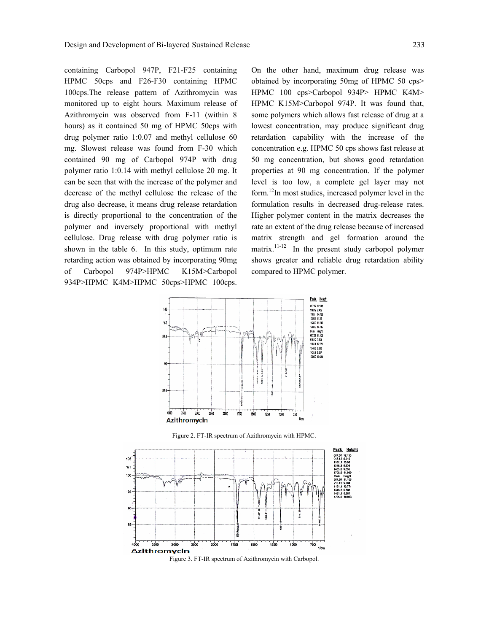containing Carbopol 947P, F21-F25 containing HPMC 50cps and F26-F30 containing HPMC 100cps.The release pattern of Azithromycin was monitored up to eight hours. Maximum release of Azithromycin was observed from F-11 (within 8 hours) as it contained 50 mg of HPMC 50cps with drug polymer ratio 1:0.07 and methyl cellulose 60 mg. Slowest release was found from F-30 which contained 90 mg of Carbopol 974P with drug polymer ratio 1:0.14 with methyl cellulose 20 mg. It can be seen that with the increase of the polymer and decrease of the methyl cellulose the release of the drug also decrease, it means drug release retardation is directly proportional to the concentration of the polymer and inversely proportional with methyl cellulose. Drug release with drug polymer ratio is shown in the table 6. In this study, optimum rate retarding action was obtained by incorporating 90mg of Carbopol 974P>HPMC K15M>Carbopol 934P>HPMC K4M>HPMC 50cps>HPMC 100cps.

On the other hand, maximum drug release was obtained by incorporating 50mg of HPMC 50 cps> HPMC 100 cps>Carbopol 934P> HPMC K4M> HPMC K15M>Carbopol 974P. It was found that, some polymers which allows fast release of drug at a lowest concentration, may produce significant drug retardation capability with the increase of the concentration e.g. HPMC 50 cps shows fast release at 50 mg concentration, but shows good retardation properties at 90 mg concentration. If the polymer level is too low, a complete gel layer may not form.12In most studies, increased polymer level in the formulation results in decreased drug-release rates. Higher polymer content in the matrix decreases the rate an extent of the drug release because of increased matrix strength and gel formation around the matrix.<sup>11-12</sup> In the present study carbopol polymer shows greater and reliable drug retardation ability compared to HPMC polymer.